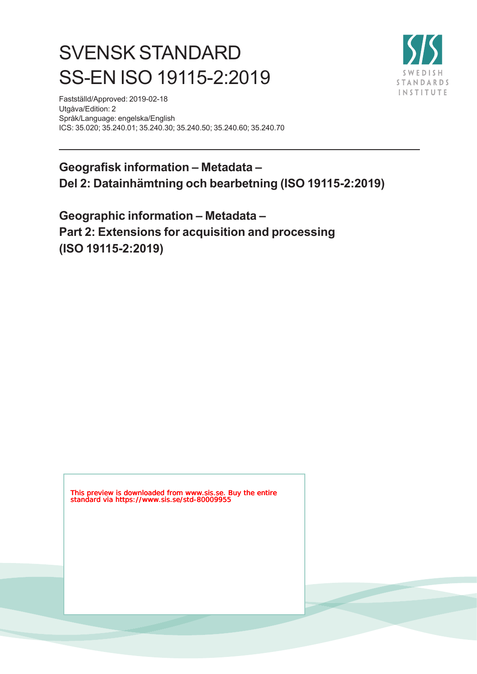# SVENSK STANDARD SS-EN ISO 19115-2:2019



Fastställd/Approved: 2019-02-18 Utgåva/Edition: 2 Språk/Language: engelska/English ICS: 35.020; 35.240.01; 35.240.30; 35.240.50; 35.240.60; 35.240.70

**Geografisk information – Metadata – Del 2: Datainhämtning och bearbetning (ISO 19115‑2:2019)**

**Geographic information – Metadata – Part 2: Extensions for acquisition and processing (ISO 19115‑2:2019)**

This preview is downloaded from www.sis.se. Buy the entire standard via https://www.sis.se/std-80009955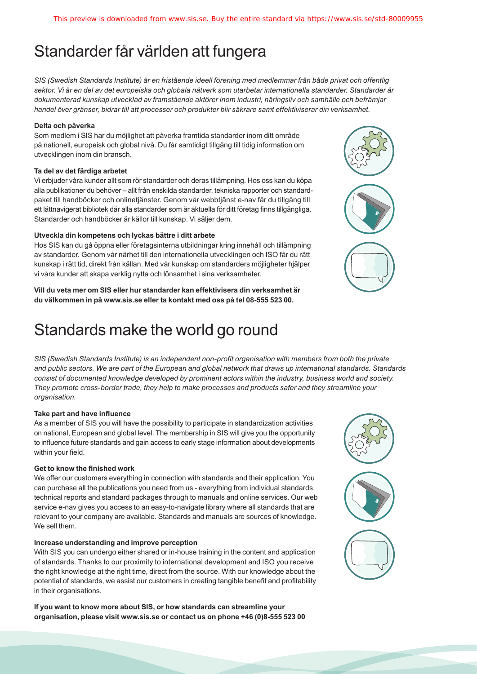## Standarder får världen att fungera

*SIS (Swedish Standards Institute) är en fristående ideell förening med medlemmar från både privat och offentlig sektor. Vi är en del av det europeiska och globala nätverk som utarbetar internationella standarder. Standarder är dokumenterad kunskap utvecklad av framstående aktörer inom industri, näringsliv och samhälle och befrämjar handel över gränser, bidrar till att processer och produkter blir säkrare samt effektiviserar din verksamhet.* 

#### **Delta och påverka**

Som medlem i SIS har du möjlighet att påverka framtida standarder inom ditt område på nationell, europeisk och global nivå. Du får samtidigt tillgång till tidig information om utvecklingen inom din bransch.

#### **Ta del av det färdiga arbetet**

Vi erbjuder våra kunder allt som rör standarder och deras tillämpning. Hos oss kan du köpa alla publikationer du behöver – allt från enskilda standarder, tekniska rapporter och standardpaket till handböcker och onlinetjänster. Genom vår webbtjänst e-nav får du tillgång till ett lättnavigerat bibliotek där alla standarder som är aktuella för ditt företag finns tillgängliga. Standarder och handböcker är källor till kunskap. Vi säljer dem.

#### **Utveckla din kompetens och lyckas bättre i ditt arbete**

Hos SIS kan du gå öppna eller företagsinterna utbildningar kring innehåll och tillämpning av standarder. Genom vår närhet till den internationella utvecklingen och ISO får du rätt kunskap i rätt tid, direkt från källan. Med vår kunskap om standarders möjligheter hjälper vi våra kunder att skapa verklig nytta och lönsamhet i sina verksamheter.

**Vill du veta mer om SIS eller hur standarder kan effektivisera din verksamhet är du välkommen in på www.sis.se eller ta kontakt med oss på tel 08-555 523 00.**

## Standards make the world go round

*SIS (Swedish Standards Institute) is an independent non-profit organisation with members from both the private and public sectors. We are part of the European and global network that draws up international standards. Standards consist of documented knowledge developed by prominent actors within the industry, business world and society. They promote cross-border trade, they help to make processes and products safer and they streamline your organisation.*

#### **Take part and have influence**

As a member of SIS you will have the possibility to participate in standardization activities on national, European and global level. The membership in SIS will give you the opportunity to influence future standards and gain access to early stage information about developments within your field.

#### **Get to know the finished work**

We offer our customers everything in connection with standards and their application. You can purchase all the publications you need from us - everything from individual standards, technical reports and standard packages through to manuals and online services. Our web service e-nav gives you access to an easy-to-navigate library where all standards that are relevant to your company are available. Standards and manuals are sources of knowledge. We sell them.

#### **Increase understanding and improve perception**

With SIS you can undergo either shared or in-house training in the content and application of standards. Thanks to our proximity to international development and ISO you receive the right knowledge at the right time, direct from the source. With our knowledge about the potential of standards, we assist our customers in creating tangible benefit and profitability in their organisations.

**If you want to know more about SIS, or how standards can streamline your organisation, please visit www.sis.se or contact us on phone +46 (0)8-555 523 00**



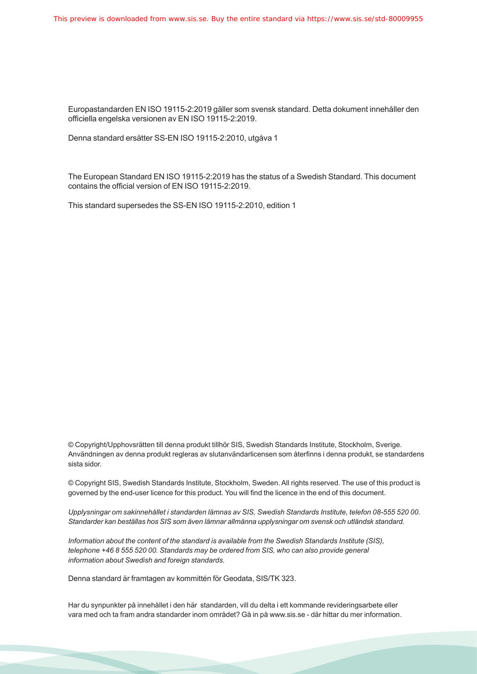Europastandarden EN ISO 19115-2:2019 gäller som svensk standard. Detta dokument innehåller den officiella engelska versionen av EN ISO 19115-2:2019.

Denna standard ersätter SS-EN ISO 19115-2:2010, utgåva 1

The European Standard EN ISO 19115-2:2019 has the status of a Swedish Standard. This document contains the official version of EN ISO 19115-2:2019.

This standard supersedes the SS-EN ISO 19115-2:2010, edition 1

© Copyright/Upphovsrätten till denna produkt tillhör SIS, Swedish Standards Institute, Stockholm, Sverige. Användningen av denna produkt regleras av slutanvändarlicensen som återfinns i denna produkt, se standardens sista sidor.

© Copyright SIS, Swedish Standards Institute, Stockholm, Sweden. All rights reserved. The use of this product is governed by the end-user licence for this product. You will find the licence in the end of this document.

*Upplysningar om sakinnehållet i standarden lämnas av SIS, Swedish Standards Institute, telefon 08-555 520 00. Standarder kan beställas hos SIS som även lämnar allmänna upplysningar om svensk och utländsk standard.*

*Information about the content of the standard is available from the Swedish Standards Institute (SIS), telephone +46 8 555 520 00. Standards may be ordered from SIS, who can also provide general information about Swedish and foreign standards.*

Denna standard är framtagen av kommittén för Geodata, SIS/TK 323.

Har du synpunkter på innehållet i den här standarden, vill du delta i ett kommande revideringsarbete eller vara med och ta fram andra standarder inom området? Gå in på www.sis.se - där hittar du mer information.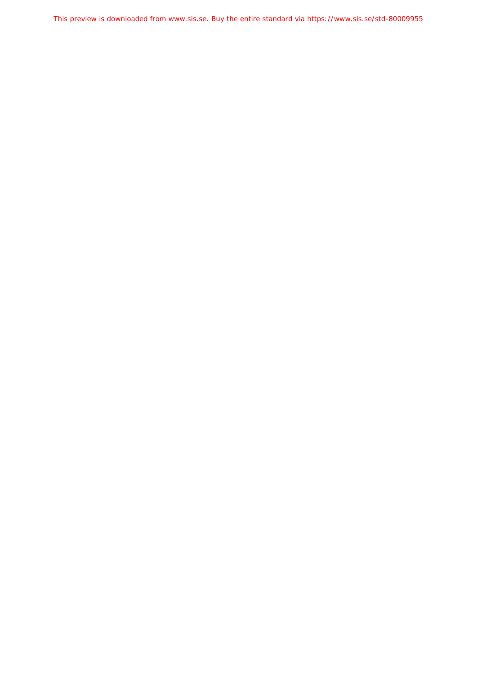This preview is downloaded from www.sis.se. Buy the entire standard via https://www.sis.se/std-80009955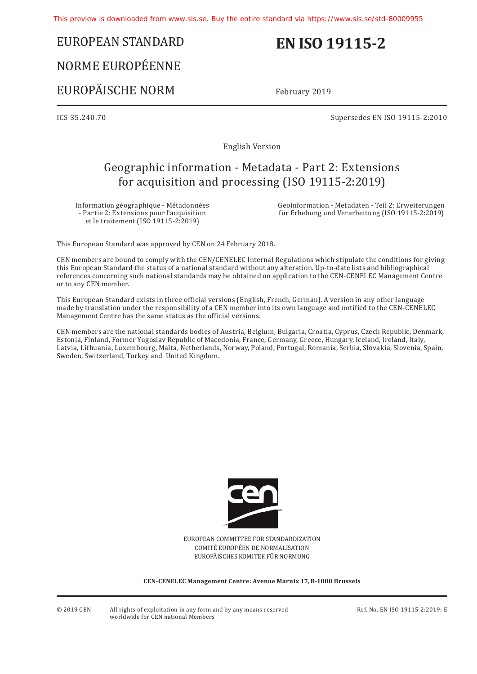### EUROPEAN STANDARD

## **EN ISO 19115-2**

## NORME EUROPÉENNE

## EUROPÄISCHE NORM

February 2019

ICS 35.240.70 Supersedes EN ISO 19115-2:2010

English Version

### Geographic information - Metadata - Part 2: Extensions for acquisition and processing (ISO 19115-2:2019)

Information géographique - Métadonnées - Partie 2: Extensions pour l'acquisition et le traitement (ISO 19115-2:2019)

Geoinformation - Metadaten - Teil 2: Erweiterungen für Erhebung und Verarbeitung (ISO 19115-2:2019)

This European Standard was approved by CEN on 24 February 2018.

CEN members are bound to comply with the CEN/CENELEC Internal Regulations which stipulate the conditions for giving this European Standard the status of a national standard without any alteration. Up-to-date lists and bibliographical references concerning such national standards may be obtained on application to the CEN-CENELEC Management Centre or to any CEN member.

This European Standard exists in three official versions (English, French, German). A version in any other language made by translation under the responsibility of a CEN member into its own language and notified to the CEN-CENELEC Management Centre has the same status as the official versions.

CEN members are the national standards bodies of Austria, Belgium, Bulgaria, Croatia, Cyprus, Czech Republic, Denmark, Estonia, Finland, Former Yugoslav Republic of Macedonia, France, Germany, Greece, Hungary, Iceland, Ireland, Italy, Latvia, Lithuania, Luxembourg, Malta, Netherlands, Norway, Poland, Portugal, Romania, Serbia, Slovakia, Slovenia, Spain, Sweden, Switzerland, Turkey and United Kingdom.



EUROPEAN COMMITTEE FOR STANDARDIZATION COMITÉ EUROPÉEN DE NORMALISATION EUROPÄISCHES KOMITEE FÜR NORMUNG

**CEN-CENELEC Management Centre: Avenue Marnix 17, B-1000 Brussels**

© 2019 CEN All rights of exploitation in any form and by any means reserved Ref. No. EN ISO 19115-2:2019: E worldwide for CEN national Members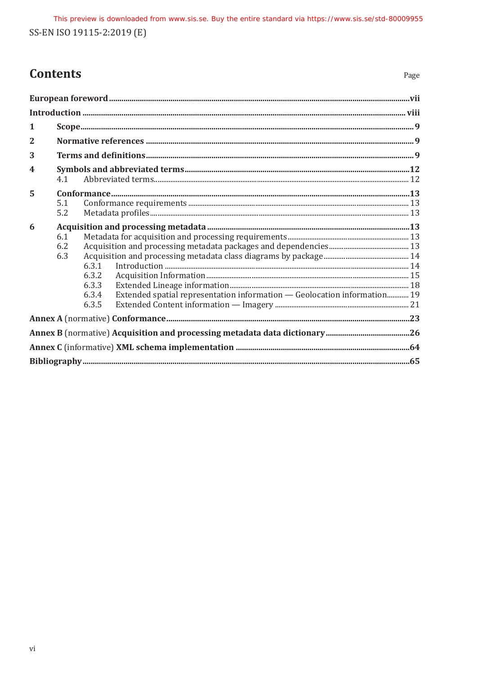## **Contents**

| I<br>۹<br>۰, |
|--------------|
|--------------|

| 2                |                   |                                           |                                                                          |  |
|------------------|-------------------|-------------------------------------------|--------------------------------------------------------------------------|--|
| 3                |                   |                                           |                                                                          |  |
| $\boldsymbol{4}$ | 4.1               |                                           |                                                                          |  |
| 5                | 5.1<br>5.2        |                                           |                                                                          |  |
| 6                | 6.1<br>6.2<br>6.3 | 6.3.1<br>6.3.2<br>6.3.3<br>6.3.4<br>6.3.5 | Extended spatial representation information - Geolocation information 19 |  |
|                  |                   |                                           |                                                                          |  |
|                  |                   |                                           |                                                                          |  |
|                  |                   |                                           |                                                                          |  |
|                  |                   |                                           |                                                                          |  |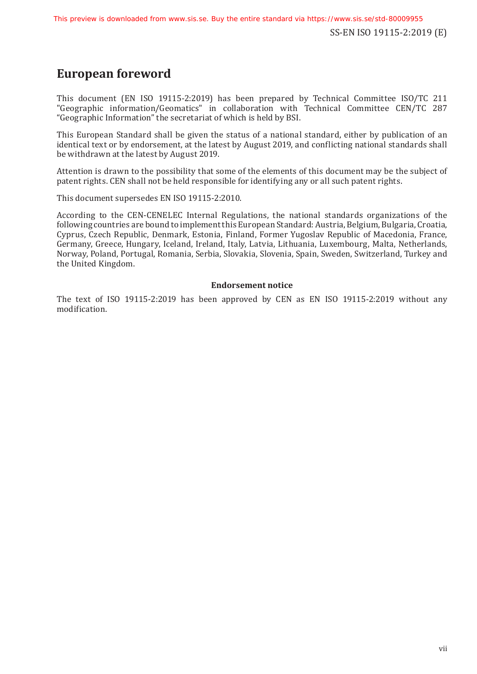## **European foreword**

This document (EN ISO 19115-2:2019) has been prepared by Technical Committee ISO/TC 211 "Geographic information/Geomatics" in collaboration with Technical Committee CEN/TC 287 "Geographic Information" the secretariat of which is held by BSI.

This European Standard shall be given the status of a national standard, either by publication of an identical text or by endorsement, at the latest by August 2019, and conflicting national standards shall be withdrawn at the latest by August 2019.

Attention is drawn to the possibility that some of the elements of this document may be the subject of patent rights. CEN shall not be held responsible for identifying any or all such patent rights.

This document supersedes EN ISO 19115-2:2010.

According to the CEN-CENELEC Internal Regulations, the national standards organizations of the following countries are bound to implement this European Standard: Austria, Belgium, Bulgaria, Croatia, Cyprus, Czech Republic, Denmark, Estonia, Finland, Former Yugoslav Republic of Macedonia, France, Germany, Greece, Hungary, Iceland, Ireland, Italy, Latvia, Lithuania, Luxembourg, Malta, Netherlands, Norway, Poland, Portugal, Romania, Serbia, Slovakia, Slovenia, Spain, Sweden, Switzerland, Turkey and the United Kingdom.

#### **Endorsement notice**

The text of ISO 19115-2:2019 has been approved by CEN as EN ISO 19115-2:2019 without any modification.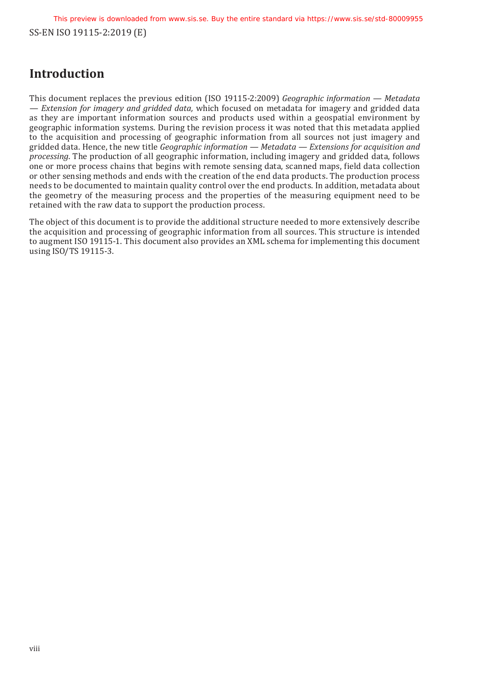SS-EN ISO 19115-2:2019 (E) This preview is downloaded from www.sis.se. Buy the entire standard via https://www.sis.se/std-80009955

## **Introduction**

This document replaces the previous edition (ISO 19115-2:2009) *Geographic information — Metadata — Extension for imagery and gridded data,* which focused on metadata for imagery and gridded data as they are important information sources and products used within a geospatial environment by geographic information systems. During the revision process it was noted that this metadata applied to the acquisition and processing of geographic information from all sources not just imagery and gridded data. Hence, the new title *Geographic information — Metadata — Extensions for acquisition and processing*. The production of all geographic information, including imagery and gridded data, follows one or more process chains that begins with remote sensing data, scanned maps, field data collection or other sensing methods and ends with the creation of the end data products. The production process needs to be documented to maintain quality control over the end products. In addition, metadata about the geometry of the measuring process and the properties of the measuring equipment need to be retained with the raw data to support the production process.

The object of this document is to provide the additional structure needed to more extensively describe the acquisition and processing of geographic information from all sources. This structure is intended to augment ISO 19115-1. This document also provides an XML schema for implementing this document using ISO/TS 19115-3.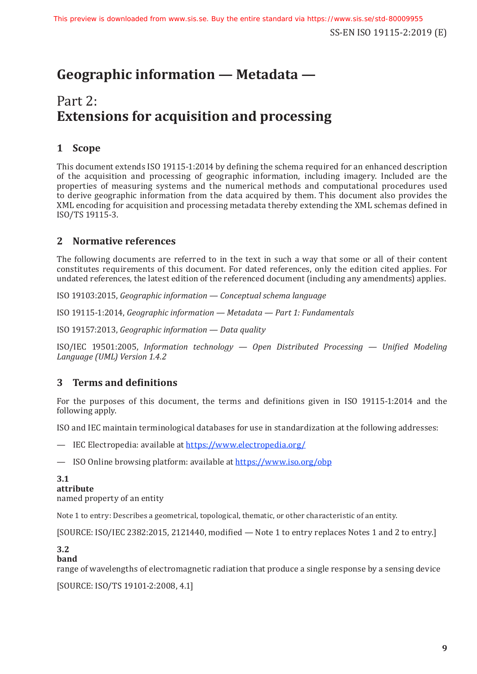## **Geographic information — Metadata —**

## Part 2: **Extensions for acquisition and processing**

### **1 Scope**

This document extends ISO 19115-1:2014 by defining the schema required for an enhanced description of the acquisition and processing of geographic information, including imagery. Included are the properties of measuring systems and the numerical methods and computational procedures used to derive geographic information from the data acquired by them. This document also provides the XML encoding for acquisition and processing metadata thereby extending the XML schemas defined in ISO/TS 19115-3.

### **2 Normative references**

The following documents are referred to in the text in such a way that some or all of their content constitutes requirements of this document. For dated references, only the edition cited applies. For undated references, the latest edition of the referenced document (including any amendments) applies.

ISO 19103:2015, *Geographic information — Conceptual schema language*

ISO 19115-1:2014, *Geographic information — Metadata — Part 1: Fundamentals*

ISO 19157:2013, *Geographic information — Data quality*

ISO/IEC 19501:2005, *Information technology — Open Distributed Processing — Unified Modeling Language (UML) Version 1.4.2*

### **3 Terms and definitions**

For the purposes of this document, the terms and definitions given in ISO 19115-1:2014 and the following apply.

ISO and IEC maintain terminological databases for use in standardization at the following addresses:

— IEC Electropedia: available at<https://www.electropedia.org/>

— ISO Online browsing platform: available at <https://www.iso.org/obp>

#### **3.1**

**attribute** named property of an entity

Note 1 to entry: Describes a geometrical, topological, thematic, or other characteristic of an entity.

[SOURCE: ISO/IEC 2382:2015, 2121440, modified — Note 1 to entry replaces Notes 1 and 2 to entry.]

#### **3.2 band**

range of wavelengths of electromagnetic radiation that produce a single response by a sensing device

[SOURCE: ISO/TS 19101‑2:2008, 4.1]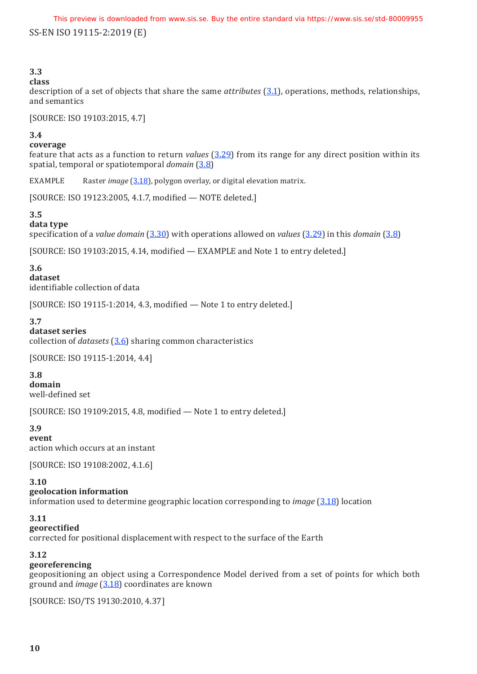SS-EN ISO 19115-2:2019 (E) This preview is downloaded from www.sis.se. Buy the entire standard via https://www.sis.se/std-80009955

#### **3.3**

#### **class**

description of a set of objects that share the same *attributes* (3.1), operations, methods, relationships, and semantics

[SOURCE: ISO 19103:2015, 4.7]

#### **3.4**

#### **coverage**

feature that acts as a function to return *values* (3.29) from its range for any direct position within its spatial, temporal or spatiotemporal *domain* (3.8)

EXAMPLE Raster *image* (3.18), polygon overlay, or digital elevation matrix.

[SOURCE: ISO 19123:2005, 4.1.7, modified — NOTE deleted.]

#### **3.5**

#### **data type**

specification of a *value domain* (3.30) with operations allowed on *values* (3.29) in this *domain* (3.8)

[SOURCE: ISO 19103:2015, 4.14, modified — EXAMPLE and Note 1 to entry deleted.]

#### **3.6**

**dataset** identifiable collection of data

[SOURCE: ISO 19115-1:2014, 4.3, modified - Note 1 to entry deleted.]

#### **3.7**

#### **dataset series**

collection of *datasets* (3.6) sharing common characteristics

[SOURCE: ISO 19115-1:2014, 4.4]

#### **3.8**

**domain** well-defined set

[SOURCE: ISO 19109:2015, 4.8, modified — Note 1 to entry deleted.]

#### **3.9**

**event** action which occurs at an instant

[SOURCE: ISO 19108:2002, 4.1.6]

#### **3.10**

#### **geolocation information**

information used to determine geographic location corresponding to *image* (3.18) location

#### **3.11**

#### **georectified**

corrected for positional displacement with respect to the surface of the Earth

#### **3.12**

#### **georeferencing**

geopositioning an object using a Correspondence Model derived from a set of points for which both ground and *image* (3.18) coordinates are known

[SOURCE: ISO/TS 19130:2010, 4.37]